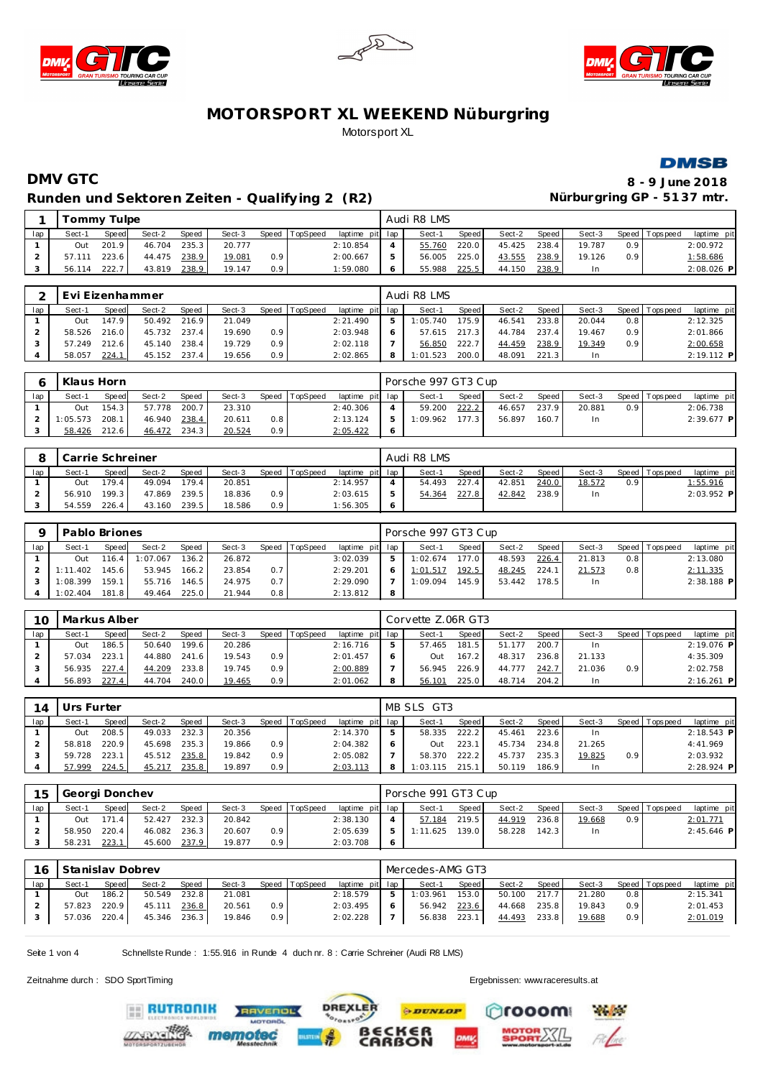







# **DMV GTC 8 - 9 June 2018** Runden und Sektoren Zeiten - Qualifying 2 (R2) **Nürburgring GP - 5137 mtr.**

|     |        | Tommy Tulpe  |              |       |        |                  |                |                 |   | Audi R8 LMS |       |        |       |        |                  |                   |             |
|-----|--------|--------------|--------------|-------|--------|------------------|----------------|-----------------|---|-------------|-------|--------|-------|--------|------------------|-------------------|-------------|
| lap | Sect-1 | Speed        | Sect-2       | Speed | Sect-3 |                  | Speed TopSpeed | laptime pit lap |   | Sect-1      | Speed | Sect-2 | Speed | Sect-3 |                  | Speed   Tops peed | laptime pit |
|     | Out    | 201.9        | 46.704       | 235.3 | 20.777 |                  |                | 2:10.854        |   | 55.760      | 220.0 | 45.425 | 238.4 | 19.787 | 0.9 <sup>1</sup> |                   | 2:00.972    |
|     |        | 57.111 223.6 | 44.475 238.9 |       | 19.081 | 0.9              |                | 2:00.667        |   | 56.005      | 225.0 | 43.555 | 238.9 | 19.126 | 0.9 <sub>1</sub> |                   | 1:58.686    |
|     | 56.114 | 222.7        | 43.819       | 238.9 | 19.147 | 0.9 <sup>°</sup> |                | 1:59.080        | 6 | 55.988      | 225.5 | 44.150 | 238.9 | In     |                  |                   | 2:08.026 P  |

|     | Evi Eizenhammer<br>TopSpeed<br>Sect-3<br>Sect-2<br><b>Speed</b><br>Speed  <br>Speed<br>Sect-1 |       |        |       |        |                  |  |                 |  | Audi R8 LMS |         |        |       |        |                  |                |              |
|-----|-----------------------------------------------------------------------------------------------|-------|--------|-------|--------|------------------|--|-----------------|--|-------------|---------|--------|-------|--------|------------------|----------------|--------------|
| lap |                                                                                               |       |        |       |        |                  |  | laptime pit lap |  | Sect-1      | Speed I | Sect-2 | Speed | Sect-3 |                  | Speed Topspeed | laptime pit  |
|     | Out                                                                                           | 147.9 | 50.492 | 216.9 | 21.049 |                  |  | 2:21.490        |  | 1:05.740    | 175.9   | 46.541 | 233.8 | 20.044 | 0.8              |                | 2:12.325     |
|     | 58.526                                                                                        | 216.0 | 45.732 | 237.4 | 19.690 | 0.9              |  | 2:03.948        |  | 57.615      | 217.3   | 44.784 | 237.4 | 19.467 | 0.9 <sup>°</sup> |                | 2:01.866     |
|     | 57.249                                                                                        | 212.6 | 45.140 | 238.4 | 19.729 | 0.9 <sub>0</sub> |  | 2:02.118        |  | 56.850      | 222.7   | 44.459 | 238.9 | 19.349 | 0.9 <sup>°</sup> |                | 2:00.658     |
|     | 58.057                                                                                        | 224.1 | 45.152 | 237.4 | 19.656 | 0.9 <sub>0</sub> |  | 2:02.865        |  | 1:01.523    | 200.0   | 48.091 | 221.3 |        |                  |                | $2:19.112$ P |

|     | Klaus Horn |       |        |       |        |       |          |                 |   | Porsche 997 GT3 Cup |       |        |       |        |               |                |              |
|-----|------------|-------|--------|-------|--------|-------|----------|-----------------|---|---------------------|-------|--------|-------|--------|---------------|----------------|--------------|
| lap | Sect-1     | Speed | Sect-2 | Speed | Sect-3 | Speed | TopSpeed | laptime pit lap |   | Sect-1              | Speed | Sect-2 | Speed | Sect-3 |               | Speed Topspeed | laptime pit  |
|     | Out        | 154.3 | 57.778 | 200.7 | 23.310 |       |          | 2:40.306        |   | 59.200              | 222.2 | 46.657 | 237.9 | 20.881 | $0.9^{\circ}$ |                | 2:06.738     |
|     | 1:05.573   | 208.1 | 46.940 | 238.4 | 20.611 | 0.8   |          | 2:13.124        | ь | :09.962             | 177.3 | 56.897 | 160.7 |        |               |                | $2:39.677$ P |
|     | 58.426     | 212.6 | 46.472 | 234.3 | 20.524 | 0.9   |          | 2:05.422        |   |                     |       |        |       |        |               |                |              |

|     | Carrie Schreiner |       |        |       |        |     |                |                 | Audi R8 LMS |       |        |       |        |                  |                   |              |
|-----|------------------|-------|--------|-------|--------|-----|----------------|-----------------|-------------|-------|--------|-------|--------|------------------|-------------------|--------------|
| lap | Sect-1           | Speed | Sect-2 | Speed | Sect-3 |     | Speed TopSpeed | laptime pit lap | Sect-1      | Speed | Sect-2 | Speed | Sect-3 |                  | Speed   Tops peed | laptime pit  |
|     | Out              | 179.4 | 49.094 | 179.4 | 20.851 |     |                | 2:14.957        | 54.493      | 227.4 | 42.851 | 240.0 | 18.572 | 0.9 <sup>1</sup> |                   | 1:55.916     |
|     | 56.910           | 199.3 | 47.869 | 239.5 | 18.836 | 0.9 |                | 2:03.615        | 54.364      | 227.8 | 42.842 | 238.9 | In     |                  |                   | $2:03.952$ P |
|     | 54.559           | 226.4 | 43.160 | 239.5 | 18.586 | 0.9 |                | 1:56.305        |             |       |        |       |        |                  |                   |              |

|     | Pablo Briones |       |          |              |        |     |                  |                 |   | Porsche 997 GT3 Cup |       |        |       |        |                  |                 |              |
|-----|---------------|-------|----------|--------------|--------|-----|------------------|-----------------|---|---------------------|-------|--------|-------|--------|------------------|-----------------|--------------|
| lap | Sect-1        | Speed | Sect-2   | <b>Speed</b> | Sect-3 |     | Speed   TopSpeed | laptime pit lap |   | Sect-1              | Speed | Sect-2 | Speed | Sect-3 |                  | Speed Tops peed | laptime pit  |
|     | Out           | 116.4 | 1:07.067 | 136.2        | 26.872 |     |                  | 3:02.039        |   | 1:02.674            | 177.0 | 48.593 | 226.4 | 21.813 | 0.8 <sub>1</sub> |                 | 2:13.080     |
|     | 1:11.402      | 145.6 | 53.945   | 166.2        | 23.854 | 0.7 |                  | 2:29.201        |   | 1:01.517            | 192.5 | 48.245 | 224.1 | 21.573 | 0.8 <sub>1</sub> |                 | 2:11.335     |
|     | 1:08.399      | 159.1 | 55.716   | 146.5        | 24.975 | 0.7 |                  | 2:29.090        |   | 1:09.094            | 145.9 | 53.442 | 178.5 | In     |                  |                 | $2:38.188$ P |
|     | 1:02.404      | 181.8 | 49.464   | 225.0        | 21.944 | 0.8 |                  | 2:13.812        | 8 |                     |       |        |       |        |                  |                 |              |

| 10  | Markus Alber |       |        |       |        |     |                |                 |   | Corvette Z.06R GT3 |       |        |       |        |                  |                |              |
|-----|--------------|-------|--------|-------|--------|-----|----------------|-----------------|---|--------------------|-------|--------|-------|--------|------------------|----------------|--------------|
| lap | Sect-1       | Speed | Sect-2 | Speed | Sect-3 |     | Speed TopSpeed | laptime pit lap |   | Sect-1             | Speed | Sect-2 | Speed | Sect-3 |                  | Speed Topspeed | laptime pit  |
|     | Out          | 186.5 | 50.640 | 199.6 | 20.286 |     |                | 2:16.716        |   | 57.465             | 181.5 | 51.177 | 200.7 | In.    |                  |                | 2:19.076 P   |
|     | 57.034       | 223.1 | 44.880 | 241.6 | 19.543 | 0.9 |                | 2:01.457        |   | Out                | 167.2 | 48.317 | 236.8 | 21.133 |                  |                | 4:35.309     |
|     | 56.935       | 227.4 | 44.209 | 233.8 | 19.745 | 0.9 |                | 2:00.889        |   | 56.945             | 226.9 | 44.777 | 242.7 | 21.036 | 0.9 <sup>1</sup> |                | 2:02.758     |
|     | 56.893       | 227.4 | 44.704 | 240.0 | 19.465 | 0.9 |                | 2:01.062        | 8 | 56.101             | 225.0 | 48.714 | 204.2 | In     |                  |                | $2:16.261$ P |

| 14  | Urs Furter |              |        |       |        |                  |                |                 |   | MB SLS GT3 |              |        |       |        |                  |                 |              |
|-----|------------|--------------|--------|-------|--------|------------------|----------------|-----------------|---|------------|--------------|--------|-------|--------|------------------|-----------------|--------------|
| lap | Sect-1     | <b>Speed</b> | Sect-2 | Speed | Sect-3 |                  | Speed TopSpeed | laptime pit lap |   | Sect-1     | <b>Speed</b> | Sect-2 | Speed | Sect-3 |                  | Speed Tops peed | laptime pit  |
|     | Out        | 208.5        | 49.033 | 232.3 | 20.356 |                  |                | 2:14.370        | ь | 58.335     | 222.2        | 45.461 | 223.6 | In.    |                  |                 | $2:18.543$ P |
|     | 58.818     | 220.9        | 45.698 | 235.3 | 19.866 | 0.9 <sub>2</sub> |                | 2:04.382        |   | Out        | 223.7        | 45.734 | 234.8 | 21.265 |                  |                 | 4:41.969     |
|     | 59.728     | 223.7        | 45.512 | 235.8 | 19.842 | 0.9 <sub>2</sub> |                | 2:05.082        |   | 58.370     | 222.2        | 45.737 | 235.3 | 19.825 | 0.9 <sub>1</sub> |                 | 2:03.932     |
|     | 57.999     | 224.5        | 45.217 | 235.8 | 19.897 | 0.9 <sub>2</sub> |                | 2:03.113        | 8 | : 03.115   | 215.         | 50.119 | 186.9 | In.    |                  |                 | $2:28.924$ P |

| 15  |        | Georgi Donchev |        |       |        |                  |                |                 | Porsche 991 GT3 Cup |       |        |         |        |                  |                   |              |
|-----|--------|----------------|--------|-------|--------|------------------|----------------|-----------------|---------------------|-------|--------|---------|--------|------------------|-------------------|--------------|
| lap | Sect-1 | Speed          | Sect-2 | Speed | Sect-3 |                  | Speed TopSpeed | laptime pit lap | Sect-1              | Speed | Sect-2 | Speed I | Sect-3 |                  | Speed   Tops peed | laptime pit  |
|     | Out    | 171.4          | 52.427 | 232.3 | 20.842 |                  |                | 2:38.130        | 57.184              | 219.5 | 44.919 | 236.8   | 19.668 | 0.9 <sup>1</sup> |                   | 2:01.771     |
|     | 58.950 | 220.4          | 46.082 | 236.3 | 20.607 | 0.9 <sub>0</sub> |                | 2:05.639        | I: 11.625           | 139.0 | 58.228 | 142.3   | In     |                  |                   | $2:45.646$ P |
|     | 58.231 | 223.1          | 45.600 | 237.9 | 19.877 | 0.9              |                | 2:03.708        |                     |       |        |         |        |                  |                   |              |

| 16  | Stanislav Dobrev<br>Speed<br>Speed TopSpeed<br>Sect-3<br>Sect-2<br>Sect-1<br>Speed<br>232.8<br>186.2<br>50.549<br>21.081<br>Out |       |        |       |        |                  |  |                 |  | Mercedes-AMG GT3 |       |        |       |        |                  |                 |             |
|-----|---------------------------------------------------------------------------------------------------------------------------------|-------|--------|-------|--------|------------------|--|-----------------|--|------------------|-------|--------|-------|--------|------------------|-----------------|-------------|
| lap |                                                                                                                                 |       |        |       |        |                  |  | laptime pit lap |  | Sect-1           | Speed | Sect-2 | Speed | Sect-3 |                  | Speed Tops peed | laptime pit |
|     |                                                                                                                                 |       |        |       |        |                  |  | 2:18.579        |  | 1:03.961         | 153.0 | 50.100 | 217.7 | 21.280 | 0.8              |                 | 2:15.341    |
|     | 57.823                                                                                                                          | 220.9 | 45.111 | 236.8 | 20.561 | 0.9 <sub>0</sub> |  | 2:03.495        |  | 56.942           | 223.6 | 44.668 | 235.8 | 19.843 | 0.9 <sup>°</sup> |                 | 2:01.453    |
|     | 57.036                                                                                                                          | 220.4 | 45.346 | 236.3 | 19.846 | 0.9              |  | 2:02.228        |  | 56.838           | 223.1 | 44.493 | 233.8 | 19.688 | 0.9 <sup>°</sup> |                 | 2:01.019    |

Seite 1 von 4 Schnellste Runde : 1:55.916 in Runde 4 duch nr. 8 : Carrie Schreiner (Audi R8 LMS)

Zeitnahme durch : SDO SportTiming Ergebnissen: [www.raceresults.a](www.raceresults.at)t

**ERUTRONIK** 



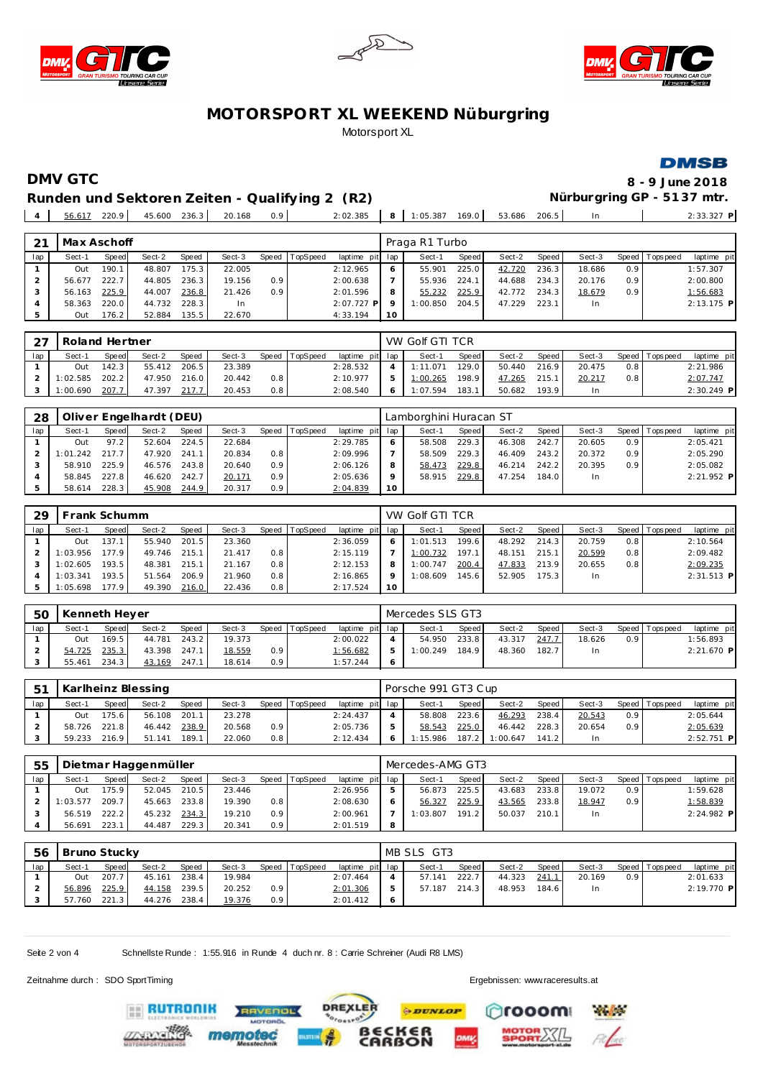





**DMSB** 

# Runden und Sektoren Zeiten - Qualifying 2 (R2) **Nürburgring GP - 5137 mtr.**

**DMV GTC 8 - 9 June 2018**

56.617 220.9 45.600 236.3 20.168 0.9 2:02.385 **8** 1:05.387 169.0 53.686 206.5 In 2:33.327 **P**

| 21  | Max Aschoff |       |        |       |           |       |          |                 |    | Praga R1 Turbo |              |        |       |        |                  |                |              |
|-----|-------------|-------|--------|-------|-----------|-------|----------|-----------------|----|----------------|--------------|--------|-------|--------|------------------|----------------|--------------|
| lap | Sect-1      | Speed | Sect-2 | Speed | Sect-3    | Speed | TopSpeed | laptime pit lap |    | Sect-1         | <b>Speed</b> | Sect-2 | Speed | Sect-3 |                  | Speed Topspeed | laptime pit  |
|     | Out         | 190.1 | 48.807 | 175.3 | 22.005    |       |          | 2:12.965        | 6  | 55.901         | 225.0        | 42.720 | 236.3 | 18.686 | 0.9 <sup>1</sup> |                | 1:57.307     |
|     | 56.677      | 222.7 | 44.805 | 236.3 | 19.156    | 0.9   |          | 2:00.638        |    | 55.936         | 224.1        | 44.688 | 234.3 | 20.176 | 0.9 <sub>1</sub> |                | 2:00.800     |
|     | 56.163      | 225.9 | 44.007 | 236.8 | 21.426    | 0.9   |          | 2:01.596        | 8  | 55.232         | 225.9        | 42.772 | 234.3 | 18.679 | 0.9 <sub>1</sub> |                | 1:56.683     |
|     | 58.363      | 220.0 | 44.732 | 228.3 | <b>In</b> |       |          | $2:07.727$ P    |    | 1:00.850       | 204.5        | 47.229 | 223.1 | In.    |                  |                | $2:13.175$ P |
|     | Out         | 176.2 | 52.884 | 135.5 | 22.670    |       |          | 4:33.194        | 10 |                |              |        |       |        |                  |                |              |
|     |             |       |        |       |           |       |          |                 |    |                |              |        |       |        |                  |                |              |

| 27  | Roland Hertner |              |        |       |        |       |          |                 | VW Golf GTI TCR |              |        |         |        |                  |                |             |
|-----|----------------|--------------|--------|-------|--------|-------|----------|-----------------|-----------------|--------------|--------|---------|--------|------------------|----------------|-------------|
| lap | Sect-1         | <b>Speed</b> | Sect-2 | Speed | Sect-3 | Speed | TopSpeed | laptime pit lap | Sect-1          | <b>Speed</b> | Sect-2 | Speed I | Sect-3 |                  | Speed Topspeed | laptime pit |
|     | Out            | 142.3        | 55.412 | 206.5 | 23.389 |       |          | 2:28.532        | 1:11.071        | 129.0        | 50.440 | 216.9   | 20.475 | 0.8              |                | 2:21.986    |
|     | :02.585        | 202.2        | 47.950 | 216.0 | 20.442 | 0.8   |          | 2:10.977        | 1:00.265        | 198.9        | 47.265 | 215.1   | 20.217 | 0.8 <sub>1</sub> |                | 2:07.747    |
|     | 1:00.690       | 207.7        | 47.397 | 217.7 | 20.453 | 0.8   |          | 2:08.540        | 1:07.594        | 183.1        | 50.682 | 193.9   |        |                  |                | 2:30.249 P  |

| -28 |          |       | Oliver Engelhardt (DEU) |       |        |       |          |                 |    | Lamborghini Huracan ST |       |        |         |        |                  |                |              |
|-----|----------|-------|-------------------------|-------|--------|-------|----------|-----------------|----|------------------------|-------|--------|---------|--------|------------------|----------------|--------------|
| lap | Sect-1   | Speed | Sect-2                  | Speed | Sect-3 | Speed | TopSpeed | laptime pit lap |    | Sect-1                 | Speed | Sect-2 | Speed I | Sect-3 |                  | Speed Topspeed | laptime pit  |
|     | Out      | 97.2  | 52.604                  | 224.5 | 22.684 |       |          | 2:29.785        |    | 58.508                 | 229.3 | 46.308 | 242.71  | 20.605 | 0.9              |                | 2:05.421     |
|     | 1:01.242 | 217.7 | 47.920                  | 241.1 | 20.834 | 0.8   |          | 2:09.996        |    | 58.509                 | 229.3 | 46.409 | 243.2   | 20.372 | 0.9 <sup>°</sup> |                | 2:05.290     |
|     | 58.910   | 225.9 | 46.576                  | 243.8 | 20.640 | 0.9   |          | 2:06.126        |    | 58.473                 | 229.8 | 46.214 | 242.2   | 20.395 | 0.9              |                | 2:05.082     |
|     | 58.845   | 227.8 | 46.620                  | 242.7 | 20.171 | 0.9   |          | 2:05.636        |    | 58.915                 | 229.8 | 47.254 | 184.0   | In     |                  |                | $2:21.952$ P |
|     | 58.614   | 228.3 | 45.908                  | 244.9 | 20.317 | 0.9   |          | 2:04.839        | 10 |                        |       |        |         |        |                  |                |              |

| 29  | Frank Schumm |       |        |       |        |       |          |                 |    | VW Golf GTI TCR |        |        |       |        |     |                |              |
|-----|--------------|-------|--------|-------|--------|-------|----------|-----------------|----|-----------------|--------|--------|-------|--------|-----|----------------|--------------|
| lap | Sect-1       | Speed | Sect-2 | Speed | Sect-3 | Speed | TopSpeed | laptime pit lap |    | Sect-1          | Speed  | Sect-2 | Speed | Sect-3 |     | Speed Topspeed | laptime pit  |
|     | Out          | 137.7 | 55.940 | 201.5 | 23.360 |       |          | 2:36.059        |    | 1:01.513        | 199.6  | 48.292 | 214.3 | 20.759 | 0.8 |                | 2:10.564     |
|     | 1:03.956     | 177.9 | 49.746 | 215.1 | 21.417 | 0.8   |          | 2:15.119        |    | 1:00.732        | 197.1  | 48.151 | 215.1 | 20.599 | 0.8 |                | 2:09.482     |
|     | 1:02.605     | 193.5 | 48.381 | 215.1 | 21.167 | 0.8   |          | 2:12.153        | 8  | 1:00.747        | 200.4  | 47.833 | 213.9 | 20.655 | 0.8 |                | 2:09.235     |
|     | 1:03.341     | 193.5 | 51.564 | 206.9 | 21.960 | 0.8   |          | 2:16.865        |    | 1:08.609        | 145.61 | 52.905 | 175.3 | In.    |     |                | $2:31.513$ P |
|     | 1:05.698     | 177.9 | 49.390 | 216.0 | 22.436 | 0.8   |          | 2:17.524        | 10 |                 |        |        |       |        |     |                |              |

| <b>5C</b> | Kenneth Heyer |       |        |       |        |                  |                |                 | Mercedes SLS GT3 |       |        |         |        |                  |                 |             |
|-----------|---------------|-------|--------|-------|--------|------------------|----------------|-----------------|------------------|-------|--------|---------|--------|------------------|-----------------|-------------|
| lap       | Sect-1        | Speed | Sect-2 | Speed | Sect-3 |                  | Speed TopSpeed | laptime pit lap | Sect-1           | Speed | Sect-2 | Speed I | Sect-3 |                  | Speed Tops peed | laptime pit |
|           | Out           | 169.5 | 44.781 | 243.2 | 19.373 |                  |                | 2:00.022        | 54.950           | 233.8 | 43.317 | 247.7   | 18.626 | 0.9 <sup>1</sup> |                 | 1:56.893    |
|           | 54.725        | 235.3 | 43.398 | 247.7 | 18.559 | 0.9 <sub>0</sub> |                | 1:56.682        | 1:00.249         | 184.9 | 48.360 | 182.7   |        |                  |                 | 2:21.670 P  |
|           | 55.461        | 234.3 | 43.169 | 247.  | 18.614 | 0.9 <sub>0</sub> |                | 1:57.244        |                  |       |        |         |        |                  |                 |             |

| - 51 |        |       | Karlheinz Blessing |       |        |                  |          |                 | Porsche 991 GT3 Cup |       |          |       |        |                  |                |              |
|------|--------|-------|--------------------|-------|--------|------------------|----------|-----------------|---------------------|-------|----------|-------|--------|------------------|----------------|--------------|
| lap  | Sect-1 | Speed | Sect-2             | Speed | Sect-3 | Speed            | TopSpeed | laptime pit lap | Sect-1              | Speed | Sect-2   | Speed | Sect-3 |                  | Speed Topspeed | laptime pit  |
|      | Out    | 175.6 | 56.108             | 201.  | 23.278 |                  |          | 2:24.437        | 58.808              | 223.6 | 46.293   | 238.4 | 20.543 | 0.9 <sub>1</sub> |                | 2:05.644     |
|      | 58.726 | 221.8 | 46.442             | 238.9 | 20.568 | 0.9 <sub>0</sub> |          | 2:05.736        | 58.543              | 225.0 | 46.442   | 228.3 | 20.654 | 0.91             |                | 2:05.639     |
|      | 59.233 | 216.9 | 51.141             | 189.1 | 22.060 | $0.8^{\circ}$    |          | 2:12.434        | 1:15.986            | 187.2 | 1:00.647 | 141.2 | ln.    |                  |                | $2:52.751$ P |

| 55  |          |       | Dietmar Haggenmüller |              |        |                  |                |                 |   | Mercedes-AMG GT3 |       |        |       |           |                  |                |              |
|-----|----------|-------|----------------------|--------------|--------|------------------|----------------|-----------------|---|------------------|-------|--------|-------|-----------|------------------|----------------|--------------|
| lap | Sect-1   | Speed | Sect-2               | <b>Speed</b> | Sect-3 |                  | Speed TopSpeed | laptime pit lap |   | Sect-1           | Speed | Sect-2 | Speed | Sect-3    |                  | Speed Topspeed | laptime pit  |
|     | Out      | 175.9 | 52.045               | 210.5        | 23.446 |                  |                | 2:26.956        |   | 56.873           | 225.5 | 43.683 | 233.8 | 19.072    | 0.9 <sup>1</sup> |                | 1:59.628     |
|     | 1:03.577 | 209.7 | 45.663               | 233.8        | 19.390 | 0.8              |                | 2:08.630        |   | 56.327           | 225.9 | 43.565 | 233.8 | 18.947    | 0.9 <sup>°</sup> |                | 1:58.839     |
|     | 56.519   | 222.2 | 45.232               | 234.3        | 19.210 | 0.9              |                | 2:00.961        |   | : 03.807         | 191.2 | 50.037 | 210.1 | <b>In</b> |                  |                | $2:24.982$ P |
|     | 56.691   | 223.  | 44.487               | 229.3        | 20.341 | 0.9 <sup>°</sup> |                | 2:01.519        | 8 |                  |       |        |       |           |                  |                |              |

| 56  | Bruno Stucky |              |        |              |        |                  |                 |                 | MB SLS GT3 |         |        |       |        |                  |                 |             |
|-----|--------------|--------------|--------|--------------|--------|------------------|-----------------|-----------------|------------|---------|--------|-------|--------|------------------|-----------------|-------------|
| lap | Sect-1       | <b>Speed</b> | Sect-2 | <b>Speed</b> | Sect-3 | Speed            | <b>TopSpeed</b> | laptime pit lap | Sect-1     | Speed I | Sect-2 | Speed | Sect-3 |                  | Speed Tops peed | laptime pit |
|     | Out          | 207.7        | 45.161 | 238.4        | 19.984 |                  |                 | 2:07.464        | 57.141     | 222.7   | 44.323 | 241.  | 20.169 | 0.9 <sup>1</sup> |                 | 2:01.633    |
|     | 56.896       | 225.9        | 44.158 | 239.5        | 20.252 | 0.9 <sub>2</sub> |                 | 2:01.306        | 57.187     | 214.3   | 48.953 | 184.6 | In     |                  |                 | 2:19.770 P  |
|     | 57.760       | 221.3        | 44.276 | 238.4        | 19.376 | 0.9 <sub>2</sub> |                 | 2:01.412        |            |         |        |       |        |                  |                 |             |

**DREXLER** 

Seite 2 von 4 Schnellste Runde : 1:55.916 in Runde 4 duch nr. 8 : Carrie Schreiner (Audi R8 LMS)

**AVENOL** 

Zeitnahme durch : SDO SportTiming Ergebnissen: [www.raceresults.a](www.raceresults.at)t





**PDUNLOP** 

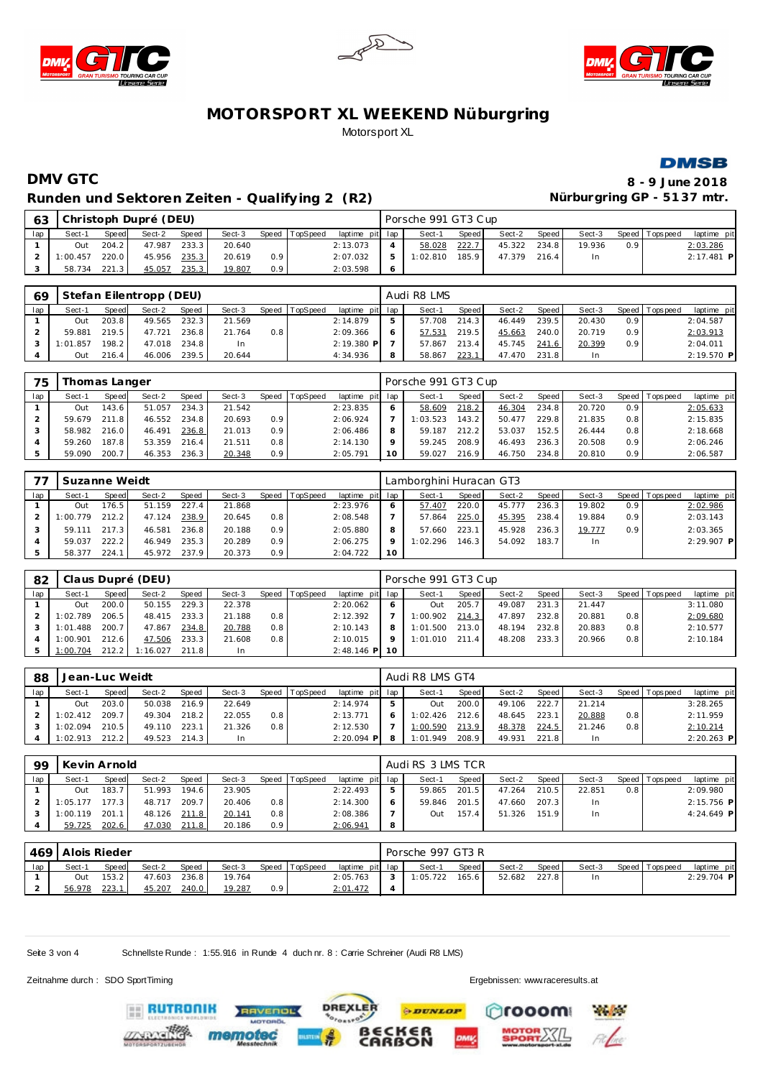







# **DMV GTC 8 - 9 June 2018** Runden und Sektoren Zeiten - Qualifying 2 (R2) **Nürburgring GP - 5137 mtr.**

| 63  |          |       | Christoph Dupré (DEU) |       |        |                  |                |                 |   | Porsche 991 GT3 Cup |       |        |       |        |     |                |              |  |
|-----|----------|-------|-----------------------|-------|--------|------------------|----------------|-----------------|---|---------------------|-------|--------|-------|--------|-----|----------------|--------------|--|
| lap | Sect-1   | Speed | Sect-2                | Speed | Sect-3 |                  | Speed TopSpeed | laptime pit lap |   | Sect-1              | Speed | Sect-2 | Speed | Sect-3 |     | Speed Topspeed | laptime pit  |  |
|     | Out      | 204.2 | 47.987                | 233.3 | 20.640 |                  |                | 2:13.073        |   | 58.028              | 222.7 | 45.322 | 234.8 | 19.936 | 0.9 |                | 2:03.286     |  |
|     | 1:00.457 | 220.0 | 45.956 235.3          |       | 20.619 | 0.9 <sup>°</sup> |                | 2:07.032        |   | 1:02.810            | 185.9 | 47.379 | 216.4 | In     |     |                | $2:17.481$ P |  |
|     | 58.734   | 221.3 | 45.057                | 235.3 | 19.807 | 0.91             |                | 2:03.598        | O |                     |       |        |       |        |     |                |              |  |

| 69  |          |       | Stefan Eilentropp (DEU) |       |        |     |                |                 |              | Audi R8 LMS |         |        |         |        |                  |                 |              |
|-----|----------|-------|-------------------------|-------|--------|-----|----------------|-----------------|--------------|-------------|---------|--------|---------|--------|------------------|-----------------|--------------|
| lap | Sect-1   | Speed | Sect-2                  | Speed | Sect-3 |     | Speed TopSpeed | laptime pit lap |              | Sect-1      | Speed I | Sect-2 | Speed I | Sect-3 |                  | Speed Tops peed | laptime pit  |
|     | Out      | 203.8 | 49.565                  | 232.3 | 21.569 |     |                | 2:14.879        | b.           | 57.708      | 214.3   | 46.449 | 239.5   | 20.430 | 0.9 <sup>°</sup> |                 | 2:04.587     |
|     | 59.881   | 219.5 | 47.721                  | 236.8 | 21.764 | 0.8 |                | 2:09.366        | <sub>o</sub> | 57.531      | 219.5   | 45.663 | 240.0   | 20.719 | 0.9 <sup>°</sup> |                 | 2:03.913     |
|     | 1:01.857 | 198.2 | 47.018                  | 234.8 | In     |     |                | 2:19.380 P      |              | 57.867      | 213.4   | 45.745 | 241.6   | 20.399 | 0.9 <sup>°</sup> |                 | 2:04.011     |
|     | Out      | 216.4 | 46.006                  | 239.5 | 20.644 |     |                | 4:34.936        | 8            | 58.867      | 223.1   | 47.470 | 231.8   |        |                  |                 | $2:19.570$ P |

| 75  |        | Thomas Langer |        |       |        |                  |                 |                 |    | Porsche 991 GT3 Cup |       |        |       |        |                  |                   |             |
|-----|--------|---------------|--------|-------|--------|------------------|-----------------|-----------------|----|---------------------|-------|--------|-------|--------|------------------|-------------------|-------------|
| lap | Sect-1 | Speed         | Sect-2 | Speed | Sect-3 | Speed            | <b>TopSpeed</b> | laptime pit lap |    | Sect-1              | Speed | Sect-2 | Speed | Sect-3 |                  | Speed   Tops peed | laptime pit |
|     | Out    | 143.6         | 51.057 | 234.3 | 21.542 |                  |                 | 2:23.835        |    | 58.609              | 218.2 | 46.304 | 234.8 | 20.720 | 0.9 <sup>°</sup> |                   | 2:05.633    |
|     | 59.679 | 2118          | 46.552 | 234.8 | 20.693 | 0.9              |                 | 2:06.924        |    | 1:03.523            | 143.2 | 50.477 | 229.8 | 21.835 | 0.8              |                   | 2:15.835    |
|     | 58.982 | 216.0         | 46.491 | 236.8 | 21.013 | 0.9              |                 | 2:06.486        |    | 59.187              | 212.2 | 53.037 | 152.5 | 26.444 | 0.8              |                   | 2:18.668    |
|     | 59.260 | 187.8         | 53.359 | 216.4 | 21.511 | 0.8              |                 | 2:14.130        |    | 59.245              | 208.9 | 46.493 | 236.3 | 20.508 | 0.9 <sup>1</sup> |                   | 2:06.246    |
|     | 59.090 | 200.          | 46.353 | 236.3 | 20.348 | 0.9 <sup>°</sup> |                 | 2:05.791        | 10 | 59.027              | 216.9 | 46.750 | 234.8 | 20.810 | 0.9 <sup>1</sup> |                   | 2:06.587    |

|     | Suzanne Weidt |       |        |       |        |     |                  |                 |         | Lamborghini Huracan GT3 |              |        |       |        |                  |                 |              |
|-----|---------------|-------|--------|-------|--------|-----|------------------|-----------------|---------|-------------------------|--------------|--------|-------|--------|------------------|-----------------|--------------|
| lap | Sect-1        | Speed | Sect-2 | Speed | Sect-3 |     | Speed   TopSpeed | laptime pit lap |         | Sect-1                  | <b>Speed</b> | Sect-2 | Speed | Sect-3 |                  | Speed Tops peed | laptime pit  |
|     | Out           | 76.5. | 51.159 | 227.4 | 21.868 |     |                  | 2:23.976        |         | 57.407                  | 220.0        | 45.777 | 236.3 | 19.802 | 0.9 <sup>°</sup> |                 | 2:02.986     |
|     | 1:00.779      | 212.2 | 47.124 | 238.9 | 20.645 | 0.8 |                  | 2:08.548        |         | 57.864                  | 225.0        | 45.395 | 238.4 | 19.884 | 0.9              |                 | 2:03.143     |
|     | 59.111        | 217.3 | 46.581 | 236.8 | 20.188 | 0.9 |                  | 2:05.880        | 8       | 57.660                  | 223.1        | 45.928 | 236.3 | 19.777 | 0.9              |                 | 2:03.365     |
|     | 59.037        | 222.2 | 46.949 | 235.3 | 20.289 | 0.9 |                  | 2:06.275        | $\circ$ | 1:02.296                | 146.3        | 54.092 | 183.7 | In.    |                  |                 | $2:29.907$ P |
|     | 58.377        | 224.1 | 45.972 | 237.9 | 20.373 | 0.9 |                  | 2:04.722        | 10      |                         |              |        |       |        |                  |                 |              |

| 82  |          |       | Claus Dupré (DEU) |       |        |     |                  |                  |         | Porsche 991 GT3 Cup |       |        |         |        |                  |             |             |
|-----|----------|-------|-------------------|-------|--------|-----|------------------|------------------|---------|---------------------|-------|--------|---------|--------|------------------|-------------|-------------|
| lap | Sect-1   | Speed | Sect-2            | Speed | Sect-3 |     | Speed   TopSpeed | laptime pit lap  |         | Sect-1              | Speed | Sect-2 | Speed I | Sect-3 | Speed I          | T ops pee d | laptime pit |
|     | Out      | 200.0 | 50.155            | 229.3 | 22.378 |     |                  | 2:20.062         | 6       | Out                 | 205.7 | 49.087 | 231.3   | 21.447 |                  |             | 3:11.080    |
|     | 1:02.789 | 206.5 | 48.415            | 233.3 | 21.188 | 0.8 |                  | 2:12.392         |         | 1:00.902            | 214.3 | 47.897 | 232.8   | 20.881 | 0.8              |             | 2:09.680    |
|     | 1:01.488 | 200.7 | 47.867            | 234.8 | 20.788 | 0.8 |                  | 2:10.143         | 8       | 1:01.500            | 213.0 | 48.194 | 232.8   | 20.883 | 0.8 <sub>1</sub> |             | 2:10.577    |
|     | 1:00.901 | 212.6 | 47.506            | 233.3 | 21.608 | 0.8 |                  | 2:10.015         | $\circ$ | 1:01.010            | 211.4 | 48.208 | 233.3   | 20.966 | 0.8              |             | 2:10.184    |
|     | 1:00.704 | 212.2 | 1:16.027          | 211.8 | In.    |     |                  | $2:48.146$ PI 10 |         |                     |       |        |         |        |                  |             |             |

| -88 | Jean-Luc Weidt |       |        |              |        |       |          |                 | Audi R8 LMS GT4 |       |        |         |        |     |                |              |
|-----|----------------|-------|--------|--------------|--------|-------|----------|-----------------|-----------------|-------|--------|---------|--------|-----|----------------|--------------|
| lap | Sect-1         | Speed | Sect-2 | <b>Speed</b> | Sect-3 | Speed | TopSpeed | laptime pit lap | Sect-1          | Speed | Sect-2 | Speed I | Sect-3 |     | Speed Topspeed | laptime pit  |
|     | Out            | 203.0 | 50.038 | 216.9        | 22.649 |       |          | 2:14.974        | Out.            | 200.0 | 49.106 | 222.7   | 21.214 |     |                | 3:28.265     |
|     | 1:02.412       | 209.7 | 49.304 | 218.2        | 22.055 | 0.8   |          | 2:13.771        | 1:02.426        | 212.6 | 48.645 | 223.1   | 20.888 | 0.8 |                | 2:11.959     |
|     | 1:02.094       | 210.5 | 49.110 | 223.1        | 21.326 | 0.8   |          | 2:12.530        | 1:00.590        | 213.9 | 48.378 | 224.5   | 21.246 | 0.8 |                | 2:10.214     |
|     | 1:02.913       | 212.2 | 49.523 | 214.3        | In.    |       |          | $2:20.094$ P    | 1:01.949        | 208.9 | 49.931 | 221.8   | In     |     |                | $2:20.263$ P |

| 99  | Kevin Arnold |                    |        |       |        |                  |          |                 |   | Audi RS 3 LMS TCR |              |        |       |        |                  |                 |              |
|-----|--------------|--------------------|--------|-------|--------|------------------|----------|-----------------|---|-------------------|--------------|--------|-------|--------|------------------|-----------------|--------------|
| lap | Sect-1       | Speed              | Sect-2 | Speed | Sect-3 | Speed            | TopSpeed | laptime pit lap |   | Sect-1            | <b>Speed</b> | Sect-2 | Speed | Sect-3 |                  | Speed Tops peed | laptime pit  |
|     | Out          | 183.7              | 51.993 | 194.6 | 23.905 |                  |          | 2:22.493        |   | 59.865            | 201.5        | 47.264 | 210.5 | 22.851 | 0.8 <sub>1</sub> |                 | 2:09.980     |
|     | 1:05.177     | 177.3 <sub>1</sub> | 48.717 | 209.7 | 20.406 | 0.8              |          | 2:14.300        | 6 | 59.846            | 201.5        | 47.660 | 207.3 | In.    |                  |                 | $2:15.756$ P |
|     | 1:00.119     | 201.               | 48.126 | 211.8 | 20.141 | 0.8              |          | 2:08.386        |   | Dut               | 157.4        | 51.326 | 151.9 | In.    |                  |                 | $4:24.649$ P |
|     | 59.725       | 202.6              | 47.030 | 211.8 | 20.186 | 0.9 <sup>°</sup> |          | 2:06.941        | 8 |                   |              |        |       |        |                  |                 |              |

|     | 469 Alois Rieder |       |        |       |        |     |                |                 |  | Porsche 997 GT3 R |                    |        |       |        |  |                  |              |  |  |
|-----|------------------|-------|--------|-------|--------|-----|----------------|-----------------|--|-------------------|--------------------|--------|-------|--------|--|------------------|--------------|--|--|
| lap | Sect-1           | Speed | Sect-2 | Speed | Sect-3 |     | Speed TopSpeed | laptime pit lap |  | Sect-1            | Speed              | Sect-2 | Speed | Sect-3 |  | Speed   Topspeed | laptime pit  |  |  |
|     | Out              | 153.2 | 47.603 | 236.8 | 19.764 |     |                | 2:05.763        |  | 1:05.722          | 165.6 <sub>1</sub> | 52.682 | 227.8 | In     |  |                  | $2:29.704$ P |  |  |
|     | 56.978           | 223.1 | 45.207 | 240.0 | 19.287 | 0.9 |                | 2:01.472        |  |                   |                    |        |       |        |  |                  |              |  |  |

**PDUNLOP** 

ັ6R<br>ON

**DREXLER** 

 $\cdot$   $\circ$ <sup>\*</sup>

Seite 3 von 4 Schnellste Runde : 1:55.916 in Runde 4 duch nr. 8 : Carrie Schreiner (Audi R8 LMS)

Zeitnahme durch : SDO SportTiming Ergebnissen: [www.raceresults.a](www.raceresults.at)t

rooom

**Pages**